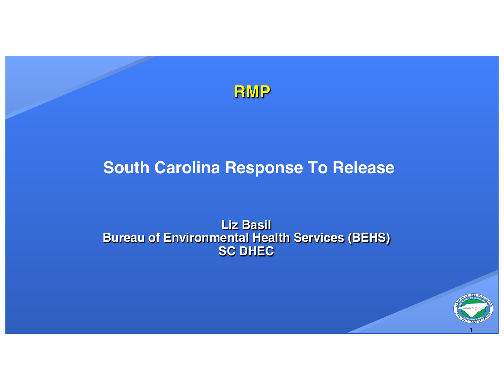

#### **South Carolina Response To Release**

#### **Liz Basil Bureau of Environmental Health Services (BEHS) SC DHEC**

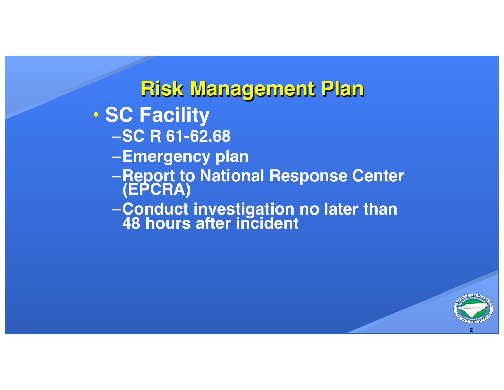**Risk Management Plan** • **SC Facility** –**SC R 61-62.68** –**Emergency plan** –**Report to National Response Center (EPCRA)** –**Conduct investigation no later than 48 hours after incident**

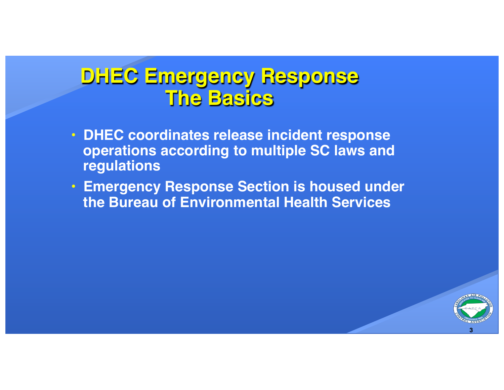#### **DHEC Emergency Response The Basics**

- **DHEC coordinates release incident response operations according to multiple SC laws and regulations**
- **Emergency Response Section is housed under the Bureau of Environmental Health Services**

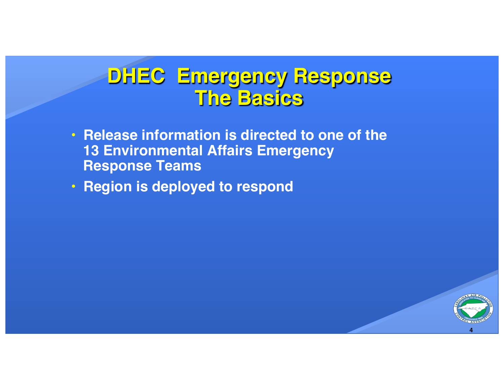#### **DHEC Emergency Response The Basics**

- **Release information is directed to one of the 13 Environmental Affairs Emergency Response Teams**
- **Region is deployed to respond**

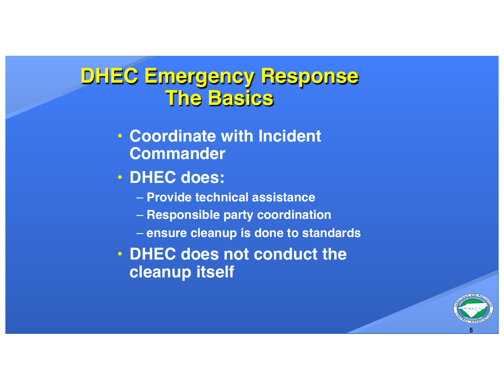# **DHEC Emergency Response The Basics**

- **Coordinate with Incident Commander**
- **DHEC does:**
	- **Provide technical assistance**
	- **Responsible party coordination**
	- **ensure cleanup is done to standards**
- **DHEC does not conduct the cleanup itself**

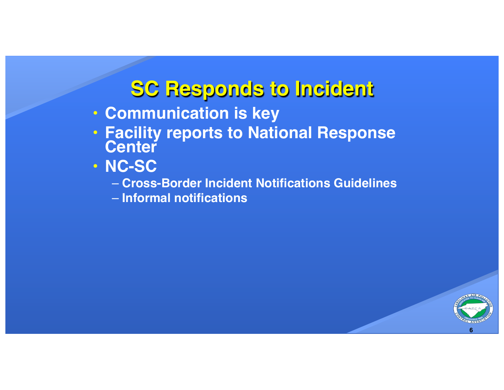### **SC Responds to Incident**

- **Communication is key**
- **Facility reports to National Response Center**
- **NC-SC**
	- **Cross-Border Incident Notifications Guidelines**
	- **Informal notifications**

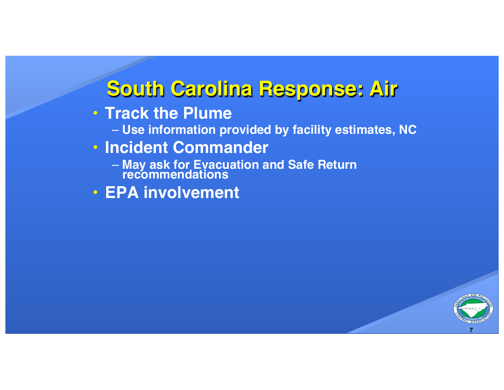# **South Carolina Response: Air**

- **Track the Plume**
	- **Use information provided by facility estimates, NC**
- **Incident Commander**
	- **May ask for Evacuation and Safe Return recommendations**
- **EPA involvement**

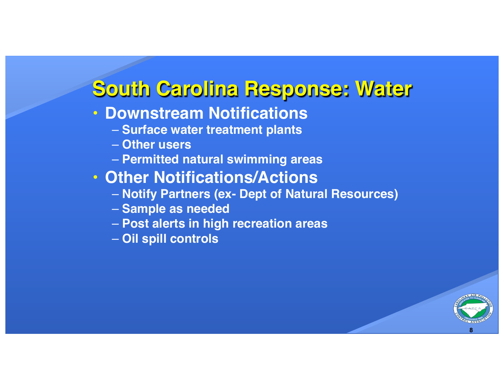### **South Carolina Response: Water**

#### • **Downstream Notifications**

- **Surface water treatment plants**
- **Other users**
- **Permitted natural swimming areas**

#### • **Other Notifications/Actions**

- **Notify Partners (ex- Dept of Natural Resources)**
- **Sample as needed**
- **Post alerts in high recreation areas**
- **Oil spill controls**